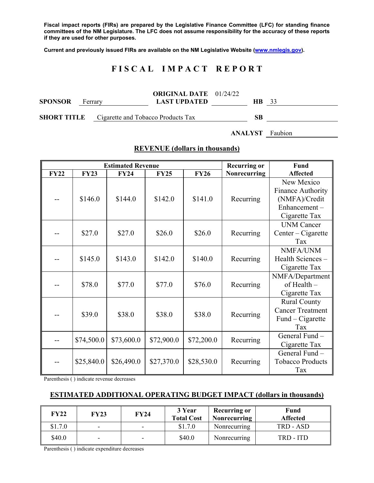**Fiscal impact reports (FIRs) are prepared by the Legislative Finance Committee (LFC) for standing finance committees of the NM Legislature. The LFC does not assume responsibility for the accuracy of these reports if they are used for other purposes.** 

**Current and previously issued FIRs are available on the NM Legislative Website (www.nmlegis.gov).** 

# **F I S C A L I M P A C T R E P O R T**

| <b>SPONSOR</b>                                        | Ferrary | <b>ORIGINAL DATE</b> 01/24/22<br><b>LAST UPDATED</b> | $HB$ 33 |  |
|-------------------------------------------------------|---------|------------------------------------------------------|---------|--|
| <b>SHORT TITLE</b> Cigarette and Tobacco Products Tax |         |                                                      | SВ      |  |

**ANALYST** Faubion

|             |             | <b>Estimated Revenue</b> |             |             | <b>Recurring or</b> | <b>Fund</b>             |
|-------------|-------------|--------------------------|-------------|-------------|---------------------|-------------------------|
| <b>FY22</b> | <b>FY23</b> | <b>FY24</b>              | <b>FY25</b> | <b>FY26</b> | Nonrecurring        | <b>Affected</b>         |
|             |             |                          |             |             |                     | New Mexico              |
|             |             |                          |             |             |                     | Finance Authority       |
|             | \$146.0     | \$144.0                  | \$142.0     | \$141.0     | Recurring           | (NMFA)/Credit           |
|             |             |                          |             |             |                     | Enhancement-            |
|             |             |                          |             |             |                     | Cigarette Tax           |
|             |             |                          |             |             |                     | <b>UNM Cancer</b>       |
|             | \$27.0      | \$27.0                   | \$26.0      | \$26.0      | Recurring           | $Center - Cigareite$    |
|             |             |                          |             |             |                     | Tax                     |
|             |             |                          |             |             |                     | NMFA/UNM                |
|             | \$145.0     | \$143.0                  | \$142.0     | \$140.0     | Recurring           | Health Sciences -       |
|             |             |                          |             |             |                     | Cigarette Tax           |
|             |             |                          |             |             |                     | NMFA/Department         |
|             | \$78.0      | \$77.0                   | \$77.0      | \$76.0      | Recurring           | of Health -             |
|             |             |                          |             |             |                     | Cigarette Tax           |
|             |             |                          |             |             |                     | <b>Rural County</b>     |
|             | \$39.0      | \$38.0                   | \$38.0      | \$38.0      | Recurring           | <b>Cancer Treatment</b> |
|             |             |                          |             |             |                     | Fund – Cigarette        |
|             |             |                          |             |             |                     | Tax                     |
|             | \$74,500.0  | \$73,600.0               | \$72,900.0  | \$72,200.0  | Recurring           | General Fund -          |
|             |             |                          |             |             |                     | Cigarette Tax           |
|             |             |                          |             |             |                     | General Fund -          |
|             | \$25,840.0  | \$26,490.0               | \$27,370.0  | \$28,530.0  | Recurring           | <b>Tobacco Products</b> |
|             |             |                          |             |             |                     | Tax                     |

#### **REVENUE (dollars in thousands)**

Parenthesis ( ) indicate revenue decreases

#### **ESTIMATED ADDITIONAL OPERATING BUDGET IMPACT (dollars in thousands)**

| <b>FY22</b> | <b>FY23</b>              | <b>FY24</b>              | 3 Year<br><b>Total Cost</b> | <b>Recurring or</b><br><b>Nonrecurring</b> | <b>Fund</b><br>Affected |
|-------------|--------------------------|--------------------------|-----------------------------|--------------------------------------------|-------------------------|
| \$1.7.0     |                          | $\overline{\phantom{0}}$ | \$1.7.0                     | Nonrecurring                               | TRD - ASD               |
| \$40.0      | $\overline{\phantom{0}}$ | $\overline{\phantom{a}}$ | \$40.0                      | Nonrecurring                               | TRD - ITD               |

Parenthesis ( ) indicate expenditure decreases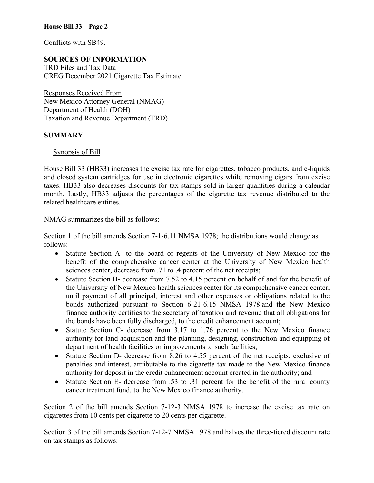#### **House Bill 33 – Page 2**

Conflicts with SB49.

### **SOURCES OF INFORMATION**

TRD Files and Tax Data CREG December 2021 Cigarette Tax Estimate

Responses Received From New Mexico Attorney General (NMAG) Department of Health (DOH) Taxation and Revenue Department (TRD)

#### **SUMMARY**

Synopsis of Bill

House Bill 33 (HB33) increases the excise tax rate for cigarettes, tobacco products, and e-liquids and closed system cartridges for use in electronic cigarettes while removing cigars from excise taxes. HB33 also decreases discounts for tax stamps sold in larger quantities during a calendar month. Lastly, HB33 adjusts the percentages of the cigarette tax revenue distributed to the related healthcare entities.

NMAG summarizes the bill as follows:

Section 1 of the bill amends Section 7-1-6.11 NMSA 1978; the distributions would change as follows:

- Statute Section A- to the board of regents of the University of New Mexico for the benefit of the comprehensive cancer center at the University of New Mexico health sciences center, decrease from .71 to .4 percent of the net receipts;
- Statute Section B- decrease from 7.52 to 4.15 percent on behalf of and for the benefit of the University of New Mexico health sciences center for its comprehensive cancer center, until payment of all principal, interest and other expenses or obligations related to the bonds authorized pursuant to Section 6-21-6.15 NMSA 1978 and the New Mexico finance authority certifies to the secretary of taxation and revenue that all obligations for the bonds have been fully discharged, to the credit enhancement account;
- Statute Section C- decrease from 3.17 to 1.76 percent to the New Mexico finance authority for land acquisition and the planning, designing, construction and equipping of department of health facilities or improvements to such facilities;
- Statute Section D- decrease from 8.26 to 4.55 percent of the net receipts, exclusive of penalties and interest, attributable to the cigarette tax made to the New Mexico finance authority for deposit in the credit enhancement account created in the authority; and
- Statute Section E- decrease from .53 to .31 percent for the benefit of the rural county cancer treatment fund, to the New Mexico finance authority.

Section 2 of the bill amends Section 7-12-3 NMSA 1978 to increase the excise tax rate on cigarettes from 10 cents per cigarette to 20 cents per cigarette.

Section 3 of the bill amends Section 7-12-7 NMSA 1978 and halves the three-tiered discount rate on tax stamps as follows: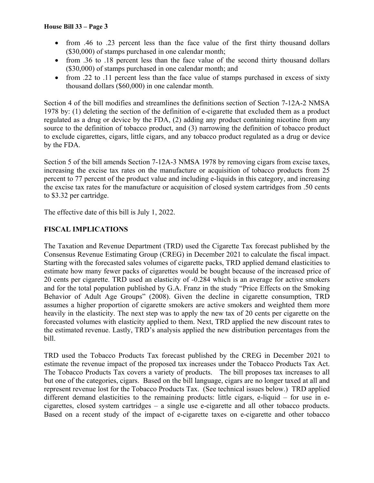- from .46 to .23 percent less than the face value of the first thirty thousand dollars (\$30,000) of stamps purchased in one calendar month;
- from .36 to .18 percent less than the face value of the second thirty thousand dollars (\$30,000) of stamps purchased in one calendar month; and
- from .22 to .11 percent less than the face value of stamps purchased in excess of sixty thousand dollars (\$60,000) in one calendar month.

Section 4 of the bill modifies and streamlines the definitions section of Section 7-12A-2 NMSA 1978 by: (1) deleting the section of the definition of e-cigarette that excluded them as a product regulated as a drug or device by the FDA, (2) adding any product containing nicotine from any source to the definition of tobacco product, and (3) narrowing the definition of tobacco product to exclude cigarettes, cigars, little cigars, and any tobacco product regulated as a drug or device by the FDA.

Section 5 of the bill amends Section 7-12A-3 NMSA 1978 by removing cigars from excise taxes, increasing the excise tax rates on the manufacture or acquisition of tobacco products from 25 percent to 77 percent of the product value and including e-liquids in this category, and increasing the excise tax rates for the manufacture or acquisition of closed system cartridges from .50 cents to \$3.32 per cartridge.

The effective date of this bill is July 1, 2022.

## **FISCAL IMPLICATIONS**

The Taxation and Revenue Department (TRD) used the Cigarette Tax forecast published by the Consensus Revenue Estimating Group (CREG) in December 2021 to calculate the fiscal impact. Starting with the forecasted sales volumes of cigarette packs, TRD applied demand elasticities to estimate how many fewer packs of cigarettes would be bought because of the increased price of 20 cents per cigarette. TRD used an elasticity of -0.284 which is an average for active smokers and for the total population published by G.A. Franz in the study "Price Effects on the Smoking Behavior of Adult Age Groups" (2008). Given the decline in cigarette consumption, TRD assumes a higher proportion of cigarette smokers are active smokers and weighted them more heavily in the elasticity. The next step was to apply the new tax of 20 cents per cigarette on the forecasted volumes with elasticity applied to them. Next, TRD applied the new discount rates to the estimated revenue. Lastly, TRD's analysis applied the new distribution percentages from the bill.

TRD used the Tobacco Products Tax forecast published by the CREG in December 2021 to estimate the revenue impact of the proposed tax increases under the Tobacco Products Tax Act. The Tobacco Products Tax covers a variety of products. The bill proposes tax increases to all but one of the categories, cigars. Based on the bill language, cigars are no longer taxed at all and represent revenue lost for the Tobacco Products Tax. (See technical issues below.) TRD applied different demand elasticities to the remaining products: little cigars, e-liquid – for use in ecigarettes, closed system cartridges – a single use e-cigarette and all other tobacco products. Based on a recent study of the impact of e-cigarette taxes on e-cigarette and other tobacco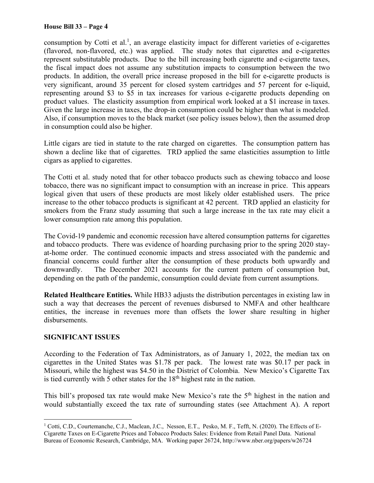consumption by Cotti et al.<sup>1</sup>, an average elasticity impact for different varieties of e-cigarettes (flavored, non-flavored, etc.) was applied. The study notes that cigarettes and e-cigarettes represent substitutable products. Due to the bill increasing both cigarette and e-cigarette taxes, the fiscal impact does not assume any substitution impacts to consumption between the two products. In addition, the overall price increase proposed in the bill for e-cigarette products is very significant, around 35 percent for closed system cartridges and 57 percent for e-liquid, representing around \$3 to \$5 in tax increases for various e-cigarette products depending on product values. The elasticity assumption from empirical work looked at a \$1 increase in taxes. Given the large increase in taxes, the drop-in consumption could be higher than what is modeled. Also, if consumption moves to the black market (see policy issues below), then the assumed drop in consumption could also be higher.

Little cigars are tied in statute to the rate charged on cigarettes. The consumption pattern has shown a decline like that of cigarettes. TRD applied the same elasticities assumption to little cigars as applied to cigarettes.

The Cotti et al. study noted that for other tobacco products such as chewing tobacco and loose tobacco, there was no significant impact to consumption with an increase in price. This appears logical given that users of these products are most likely older established users. The price increase to the other tobacco products is significant at 42 percent. TRD applied an elasticity for smokers from the Franz study assuming that such a large increase in the tax rate may elicit a lower consumption rate among this population.

The Covid-19 pandemic and economic recession have altered consumption patterns for cigarettes and tobacco products. There was evidence of hoarding purchasing prior to the spring 2020 stayat-home order. The continued economic impacts and stress associated with the pandemic and financial concerns could further alter the consumption of these products both upwardly and downwardly. The December 2021 accounts for the current pattern of consumption but, depending on the path of the pandemic, consumption could deviate from current assumptions.

**Related Healthcare Entities.** While HB33 adjusts the distribution percentages in existing law in such a way that decreases the percent of revenues disbursed to NMFA and other healthcare entities, the increase in revenues more than offsets the lower share resulting in higher disbursements.

### **SIGNIFICANT ISSUES**

 $\overline{a}$ 

According to the Federation of Tax Administrators, as of January 1, 2022, the median tax on cigarettes in the United States was \$1.78 per pack. The lowest rate was \$0.17 per pack in Missouri, while the highest was \$4.50 in the District of Colombia. New Mexico's Cigarette Tax is tied currently with 5 other states for the  $18<sup>th</sup>$  highest rate in the nation.

This bill's proposed tax rate would make New Mexico's rate the 5<sup>th</sup> highest in the nation and would substantially exceed the tax rate of surrounding states (see Attachment A). A report

<sup>&</sup>lt;sup>1</sup> Cotti, C.D., Courtemanche, C.J., Maclean, J.C., Nesson, E.T., Pesko, M. F., Tefft, N. (2020). The Effects of E-Cigarette Taxes on E-Cigarette Prices and Tobacco Products Sales: Evidence from Retail Panel Data. National Bureau of Economic Research, Cambridge, MA. Working paper 26724, http://www.nber.org/papers/w26724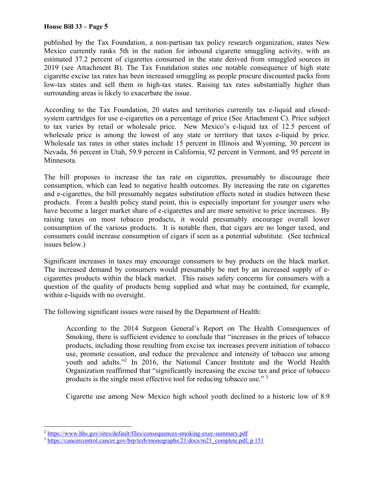#### **House Bill 33 – Page 5**

published by the Tax Foundation, a non-partisan tax policy research organization, states New Mexico currently ranks 5th in the nation for inbound cigarette smuggling activity, with an estimated 37.2 percent of cigarettes consumed in the state derived from smuggled sources in 2019 (see Attachment B). The Tax Foundation states one notable consequence of high state cigarette excise tax rates has been increased smuggling as people procure discounted packs from low-tax states and sell them in high-tax states. Raising tax rates substantially higher than surrounding areas is likely to exacerbate the issue.

According to the Tax Foundation, 20 states and territories currently tax e-liquid and closedsystem cartridges for use e-cigarettes on a percentage of price (See Attachment C). Price subject to tax varies by retail or wholesale price. New Mexico's e-liquid tax of 12.5 percent of wholesale price is among the lowest of any state or territory that taxes e-liquid by price. Wholesale tax rates in other states include 15 percent in Illinois and Wyoming, 30 percent in Nevada, 56 percent in Utah, 59.9 percent in California, 92 percent in Vermont, and 95 percent in Minnesota.

The bill proposes to increase the tax rate on cigarettes, presumably to discourage their consumption, which can lead to negative health outcomes. By increasing the rate on cigarettes and e-cigarettes, the bill presumably negates substitution effects noted in studies between these products. From a health policy stand point, this is especially important for younger users who have become a larger market share of e-cigarettes and are more sensitive to price increases. By raising taxes on most tobacco products, it would presumably encourage overall lower consumption of the various products. It is notable then, that cigars are no longer taxed, and consumers could increase consumption of cigars if seen as a potential substitute. (See technical issues below.)

Significant increases in taxes may encourage consumers to buy products on the black market. The increased demand by consumers would presumably be met by an increased supply of ecigarettes products within the black market. This raises safety concerns for consumers with a question of the quality of products being supplied and what may be contained, for example, within e-liquids with no oversight.

The following significant issues were raised by the Department of Health:

According to the 2014 Surgeon General's Report on The Health Consequences of Smoking, there is sufficient evidence to conclude that "increases in the prices of tobacco products, including those resulting from excise tax increases prevent initiation of tobacco use, promote cessation, and reduce the prevalence and intensity of tobacco use among youth and adults."2 In 2016, the National Cancer Institute and the World Health Organization reaffirmed that "significantly increasing the excise tax and price of tobacco products is the single most effective tool for reducing tobacco use." 3

Cigarette use among New Mexico high school youth declined to a historic low of 8.9

 $\overline{a}$ <sup>2</sup> https://www.hhs.gov/sites/default/files/consequences-smoking-exec-summary.pdf

<sup>&</sup>lt;sup>3</sup> https://cancercontrol.cancer.gov/brp/tcrb/monographs/21/docs/m21\_complete.pdf, p 151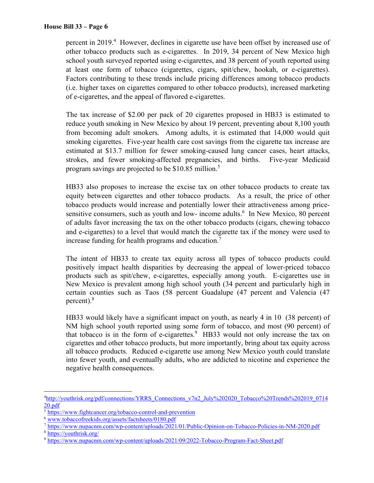percent in 2019.<sup>4</sup> However, declines in cigarette use have been offset by increased use of other tobacco products such as e-cigarettes. In 2019, 34 percent of New Mexico high school youth surveyed reported using e-cigarettes, and 38 percent of youth reported using at least one form of tobacco (cigarettes, cigars, spit/chew, hookah, or e-cigarettes). Factors contributing to these trends include pricing differences among tobacco products (i.e. higher taxes on cigarettes compared to other tobacco products), increased marketing of e-cigarettes, and the appeal of flavored e-cigarettes.

The tax increase of \$2.00 per pack of 20 cigarettes proposed in HB33 is estimated to reduce youth smoking in New Mexico by about 19 percent, preventing about 8,100 youth from becoming adult smokers. Among adults, it is estimated that 14,000 would quit smoking cigarettes. Five-year health care cost savings from the cigarette tax increase are estimated at \$13.7 million for fewer smoking-caused lung cancer cases, heart attacks, strokes, and fewer smoking-affected pregnancies, and births. Five-year Medicaid program savings are projected to be \$10.85 million.<sup>5</sup>

HB33 also proposes to increase the excise tax on other tobacco products to create tax equity between cigarettes and other tobacco products. As a result, the price of other tobacco products would increase and potentially lower their attractiveness among pricesensitive consumers, such as youth and low- income adults.<sup>6</sup> In New Mexico, 80 percent of adults favor increasing the tax on the other tobacco products (cigars, chewing tobacco and e-cigarettes) to a level that would match the cigarette tax if the money were used to increase funding for health programs and education.<sup>7</sup>

The intent of HB33 to create tax equity across all types of tobacco products could positively impact health disparities by decreasing the appeal of lower-priced tobacco products such as spit/chew, e-cigarettes, especially among youth. E-cigarettes use in New Mexico is prevalent among high school youth (34 percent and particularly high in certain counties such as Taos (58 percent Guadalupe (47 percent and Valencia (47 percent). $8$ 

HB33 would likely have a significant impact on youth, as nearly 4 in 10 (38 percent) of NM high school youth reported using some form of tobacco, and most (90 percent) of that tobacco is in the form of e-cigarettes. $9$  HB33 would not only increase the tax on cigarettes and other tobacco products, but more importantly, bring about tax equity across all tobacco products. Reduced e-cigarette use among New Mexico youth could translate into fewer youth, and eventually adults, who are addicted to nicotine and experience the negative health consequences.

 $\overline{a}$ 

<sup>&</sup>lt;sup>4</sup>http://youthrisk.org/pdf/connections/YRRS\_Connections\_v7n2\_July%202020\_Tobacco%20Trends%202019\_0714 20.pdf

<sup>5</sup> https://www.fightcancer.org/tobacco-control-and-prevention

<sup>6</sup> www.tobaccofreekids.org/assets/factsheets/0180.pdf

<sup>7</sup> https://www.nupacnm.com/wp-content/uploads/2021/01/Public-Opinion-on-Tobacco-Policies-in-NM-2020.pdf

<sup>8</sup> https://youthrisk.org/

<sup>9</sup> https://www.nupacnm.com/wp-content/uploads/2021/09/2022-Tobacco-Program-Fact-Sheet.pdf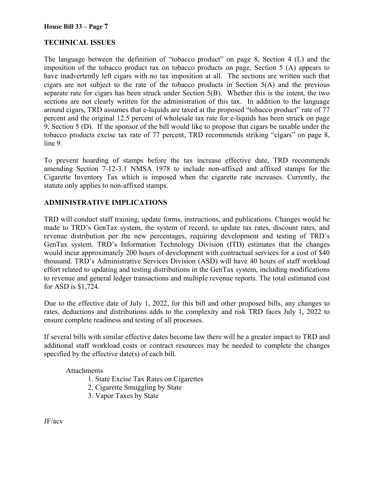## **TECHNICAL ISSUES**

The language between the definition of "tobacco product" on page 8, Section 4 (L) and the imposition of the tobacco product tax on tobacco products on page, Section 5 (A) appears to have inadvertently left cigars with no tax imposition at all. The sections are written such that cigars are not subject to the rate of the tobacco products in Section 5(A) and the previous separate rate for cigars has been struck under Section 5(B). Whether this is the intent, the two sections are not clearly written for the administration of this tax. In addition to the language around cigars, TRD assumes that e-liquids are taxed at the proposed "tobacco product" rate of 77 percent and the original 12.5 percent of wholesale tax rate for e-liquids has been struck on page 9, Section 5 (D). If the sponsor of the bill would like to propose that cigars be taxable under the tobacco products excise tax rate of 77 percent, TRD recommends striking "cigars" on page 8, line 9.

To prevent hoarding of stamps before the tax increase effective date, TRD recommends amending Section 7-12-3.1 NMSA 1978 to include non-affixed and affixed stamps for the Cigarette Inventory Tax which is imposed when the cigarette rate increases. Currently, the statute only applies to non-affixed stamps.

### **ADMINISTRATIVE IMPLICATIONS**

TRD will conduct staff training, update forms, instructions, and publications. Changes would be made to TRD's GenTax system, the system of record, to update tax rates, discount rates, and revenue distribution per the new percentages, requiring development and testing of TRD's GenTax system. TRD's Information Technology Division (ITD) estimates that the changes would incur approximately 200 hours of development with contractual services for a cost of \$40 thousand. TRD's Administrative Services Division (ASD) will have 40 hours of staff workload effort related to updating and testing distributions in the GenTax system, including modifications to revenue and general ledger transactions and multiple revenue reports. The total estimated cost for ASD is \$1,724.

Due to the effective date of July 1, 2022, for this bill and other proposed bills, any changes to rates, deductions and distributions adds to the complexity and risk TRD faces July 1, 2022 to ensure complete readiness and testing of all processes.

If several bills with similar effective dates become law there will be a greater impact to TRD and additional staff workload costs or contract resources may be needed to complete the changes specified by the effective date(s) of each bill.

### Attachments

- 1. State Excise Tax Rates on Cigarettes
- 2. Cigarette Smuggling by State
- 3. Vapor Taxes by State

JF/acv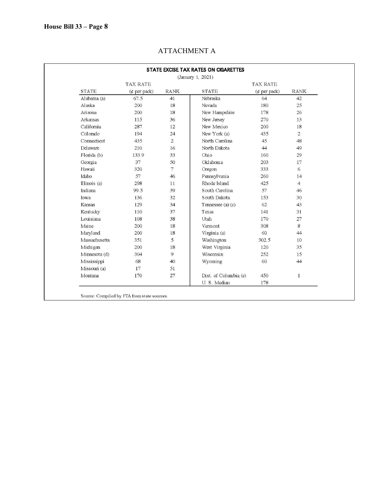|                             |                   |                 | STATE EXCISE TAX RATES ON CIGARETTES<br>(January 1, 2021) |                   |                |
|-----------------------------|-------------------|-----------------|-----------------------------------------------------------|-------------------|----------------|
| TAX RATE<br><b>TAX RATE</b> |                   |                 |                                                           |                   |                |
| <b>STATE</b>                | $(\phi$ per pack) | <b>RANK</b>     | <b>STATE</b>                                              | $(\phi$ per pack) | <b>RANK</b>    |
| Alabama (a)                 | 67.5              | 41              | Nebraska                                                  | 64                | 42             |
| Alaska                      | 200               | 18              | Nevada                                                    | 180               | 25             |
| Arizona                     | 200               | 18              | New Hampshire                                             | 178               | 26             |
| Arkansas                    | 115               | 36              | New Jersey                                                | 270               | 13             |
| California                  | 287               | 12              | New Mexico                                                | 200               | 18             |
| Colorado                    | 194               | 24              | New York (a)                                              | 435               | $\overline{2}$ |
| Connecticut                 | 435               | $\overline{2}$  | North Carolina                                            | 45                | 48             |
| Delaware                    | 210               | 16              | North Dakota                                              | 44                | 49             |
| Florida (b)                 | 133.9             | 33              | Ohio                                                      | 160               | 29             |
| Georgia                     | 37                | 50              | Oklahoma                                                  | 203               | 17             |
| Hawaii                      | 320               | $7\phantom{.0}$ | Oregon                                                    | 333               | 6              |
| Idaho                       | 57                | 46              | Pennsylvania                                              | 260               | 14             |
| Illinois (a)                | 298               | 11              | Rhode Island                                              | 425               | $\overline{4}$ |
| Indiana                     | 99.5              | 39              | South Carolina                                            | 57                | 46             |
| Iowa                        | 136               | 32              | South Dakota                                              | 153               | 30             |
| Kansas                      | 129               | 34              | Tennessee (a) $(c)$                                       | 62                | 43             |
| Kentucky                    | 110               | 37              | Texas                                                     | 141               | 31             |
| Louisiana                   | 108               | 38              | Utah                                                      | 170               | 27             |
| Maine                       | 200               | 18              | Vermont                                                   | 308               | 8              |
| Maryland                    | 200               | 18              | Virginia (a)                                              | 60                | 44             |
| Massachusetts               | 351               | 5               | Washington                                                | 302.5             | 10             |
| Michigan                    | 200               | 18              | West Virginia                                             | 120               | 35             |
| Minnesota (d)               | 304               | 9               | Wisconsin                                                 | 252               | 15             |
| Mississippi                 | 68                | 40              | Wyoming                                                   | 60                | 44             |
| Missouri (a)                | 17                | 51              |                                                           |                   |                |
| Montana                     | 170               | 27              | Dist. of Columbia (e)                                     | 450               | $\mathbf{1}$   |
|                             |                   |                 | U.S. Median                                               | 178               |                |

## ATTACHMENT A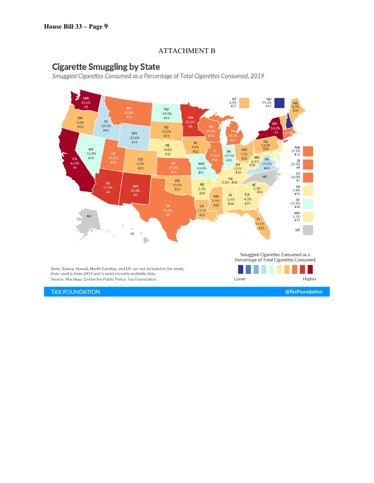## ATTACHMENT B

# **Cigarette Smuggling by State**

Smuggled Cigarettes Consumed as a Percentage of Total Cigarettes Consumed, 2019



**TAX FOUNDATION** 

@TaxFoundation